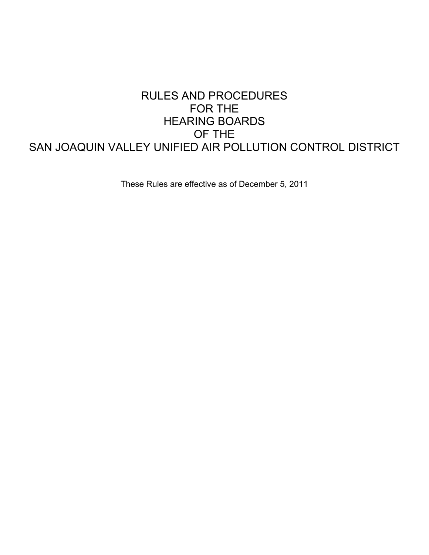## RULES AND PROCEDURES FOR THE HEARING BOARDS OF THE SAN JOAQUIN VALLEY UNIFIED AIR POLLUTION CONTROL DISTRICT

These Rules are effective as of December 5, 2011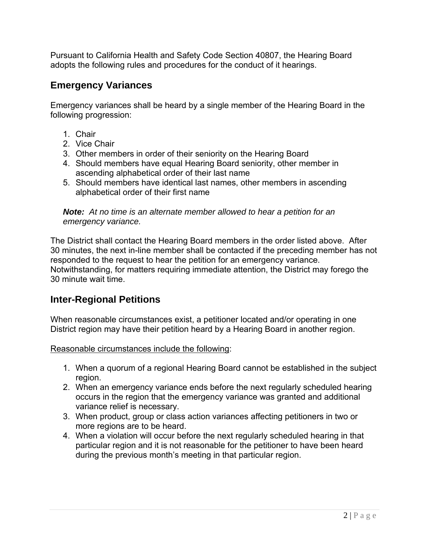Pursuant to California Health and Safety Code Section 40807, the Hearing Board adopts the following rules and procedures for the conduct of it hearings.

## **Emergency Variances**

Emergency variances shall be heard by a single member of the Hearing Board in the following progression:

- 1. Chair
- 2. Vice Chair
- 3. Other members in order of their seniority on the Hearing Board
- 4. Should members have equal Hearing Board seniority, other member in ascending alphabetical order of their last name
- 5. Should members have identical last names, other members in ascending alphabetical order of their first name

*Note: At no time is an alternate member allowed to hear a petition for an emergency variance.* 

The District shall contact the Hearing Board members in the order listed above. After 30 minutes, the next in-line member shall be contacted if the preceding member has not responded to the request to hear the petition for an emergency variance. Notwithstanding, for matters requiring immediate attention, the District may forego the 30 minute wait time.

## **Inter-Regional Petitions**

When reasonable circumstances exist, a petitioner located and/or operating in one District region may have their petition heard by a Hearing Board in another region.

Reasonable circumstances include the following:

- 1. When a quorum of a regional Hearing Board cannot be established in the subject region.
- 2. When an emergency variance ends before the next regularly scheduled hearing occurs in the region that the emergency variance was granted and additional variance relief is necessary.
- 3. When product, group or class action variances affecting petitioners in two or more regions are to be heard.
- 4. When a violation will occur before the next regularly scheduled hearing in that particular region and it is not reasonable for the petitioner to have been heard during the previous month's meeting in that particular region.